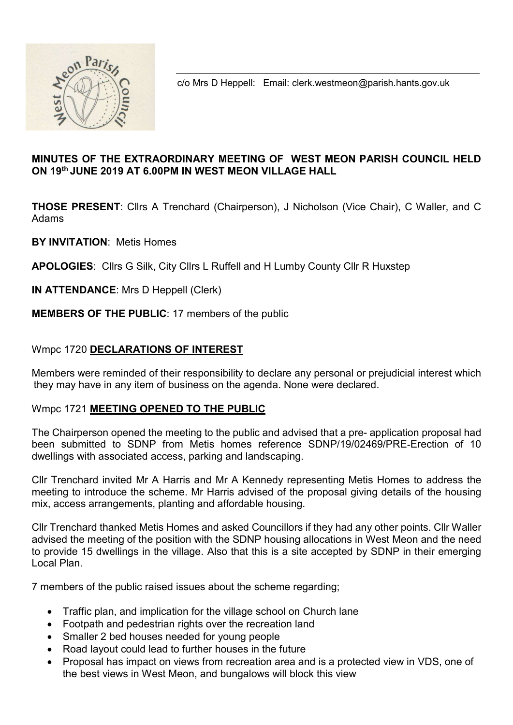

c/o Mrs D Heppell: Email: clerk.westmeon@parish.hants.gov.uk

## MINUTES OF THE EXTRAORDINARY MEETING OF WEST MEON PARISH COUNCIL HELD ON 19th JUNE 2019 AT 6.00PM IN WEST MEON VILLAGE HALL

THOSE PRESENT: Cllrs A Trenchard (Chairperson), J Nicholson (Vice Chair), C Waller, and C Adams

BY INVITATION: Metis Homes

APOLOGIES: Cllrs G Silk, City Cllrs L Ruffell and H Lumby County Cllr R Huxstep

IN ATTENDANCE: Mrs D Heppell (Clerk)

## MEMBERS OF THE PUBLIC: 17 members of the public

## Wmpc 1720 DECLARATIONS OF INTEREST

Members were reminded of their responsibility to declare any personal or prejudicial interest which they may have in any item of business on the agenda. None were declared.

#### Wmpc 1721 MEETING OPENED TO THE PUBLIC

The Chairperson opened the meeting to the public and advised that a pre- application proposal had been submitted to SDNP from Metis homes reference SDNP/19/02469/PRE-Erection of 10 dwellings with associated access, parking and landscaping.

Cllr Trenchard invited Mr A Harris and Mr A Kennedy representing Metis Homes to address the meeting to introduce the scheme. Mr Harris advised of the proposal giving details of the housing mix, access arrangements, planting and affordable housing.

Cllr Trenchard thanked Metis Homes and asked Councillors if they had any other points. Cllr Waller advised the meeting of the position with the SDNP housing allocations in West Meon and the need to provide 15 dwellings in the village. Also that this is a site accepted by SDNP in their emerging Local Plan.

7 members of the public raised issues about the scheme regarding;

- Traffic plan, and implication for the village school on Church lane
- Footpath and pedestrian rights over the recreation land
- Smaller 2 bed houses needed for young people
- Road layout could lead to further houses in the future
- Proposal has impact on views from recreation area and is a protected view in VDS, one of the best views in West Meon, and bungalows will block this view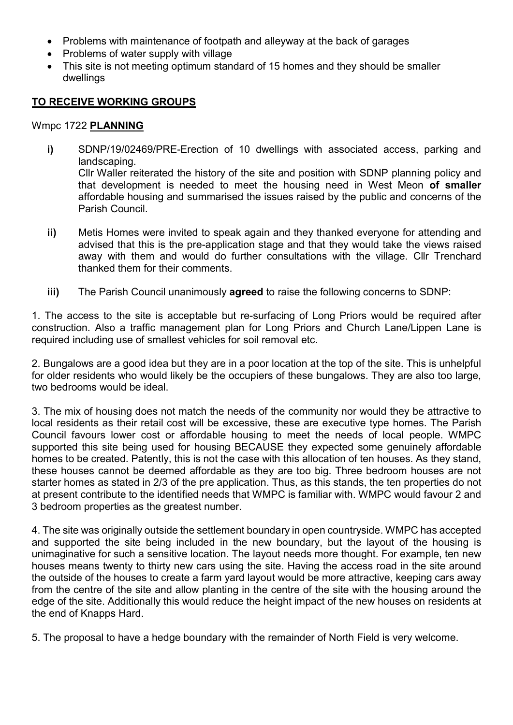- Problems with maintenance of footpath and alleyway at the back of garages
- Problems of water supply with village
- This site is not meeting optimum standard of 15 homes and they should be smaller dwellings

# TO RECEIVE WORKING GROUPS

#### Wmpc 1722 PLANNING

- i) SDNP/19/02469/PRE-Erection of 10 dwellings with associated access, parking and landscaping. Cllr Waller reiterated the history of the site and position with SDNP planning policy and that development is needed to meet the housing need in West Meon of smaller affordable housing and summarised the issues raised by the public and concerns of the Parish Council.
- ii) Metis Homes were invited to speak again and they thanked everyone for attending and advised that this is the pre-application stage and that they would take the views raised away with them and would do further consultations with the village. Cllr Trenchard thanked them for their comments.
- iii) The Parish Council unanimously **agreed** to raise the following concerns to SDNP:

1. The access to the site is acceptable but re-surfacing of Long Priors would be required after construction. Also a traffic management plan for Long Priors and Church Lane/Lippen Lane is required including use of smallest vehicles for soil removal etc.

2. Bungalows are a good idea but they are in a poor location at the top of the site. This is unhelpful for older residents who would likely be the occupiers of these bungalows. They are also too large, two bedrooms would be ideal.

3. The mix of housing does not match the needs of the community nor would they be attractive to local residents as their retail cost will be excessive, these are executive type homes. The Parish Council favours lower cost or affordable housing to meet the needs of local people. WMPC supported this site being used for housing BECAUSE they expected some genuinely affordable homes to be created. Patently, this is not the case with this allocation of ten houses. As they stand, these houses cannot be deemed affordable as they are too big. Three bedroom houses are not starter homes as stated in 2/3 of the pre application. Thus, as this stands, the ten properties do not at present contribute to the identified needs that WMPC is familiar with. WMPC would favour 2 and 3 bedroom properties as the greatest number.

4. The site was originally outside the settlement boundary in open countryside. WMPC has accepted and supported the site being included in the new boundary, but the layout of the housing is unimaginative for such a sensitive location. The layout needs more thought. For example, ten new houses means twenty to thirty new cars using the site. Having the access road in the site around the outside of the houses to create a farm yard layout would be more attractive, keeping cars away from the centre of the site and allow planting in the centre of the site with the housing around the edge of the site. Additionally this would reduce the height impact of the new houses on residents at the end of Knapps Hard.

5. The proposal to have a hedge boundary with the remainder of North Field is very welcome.